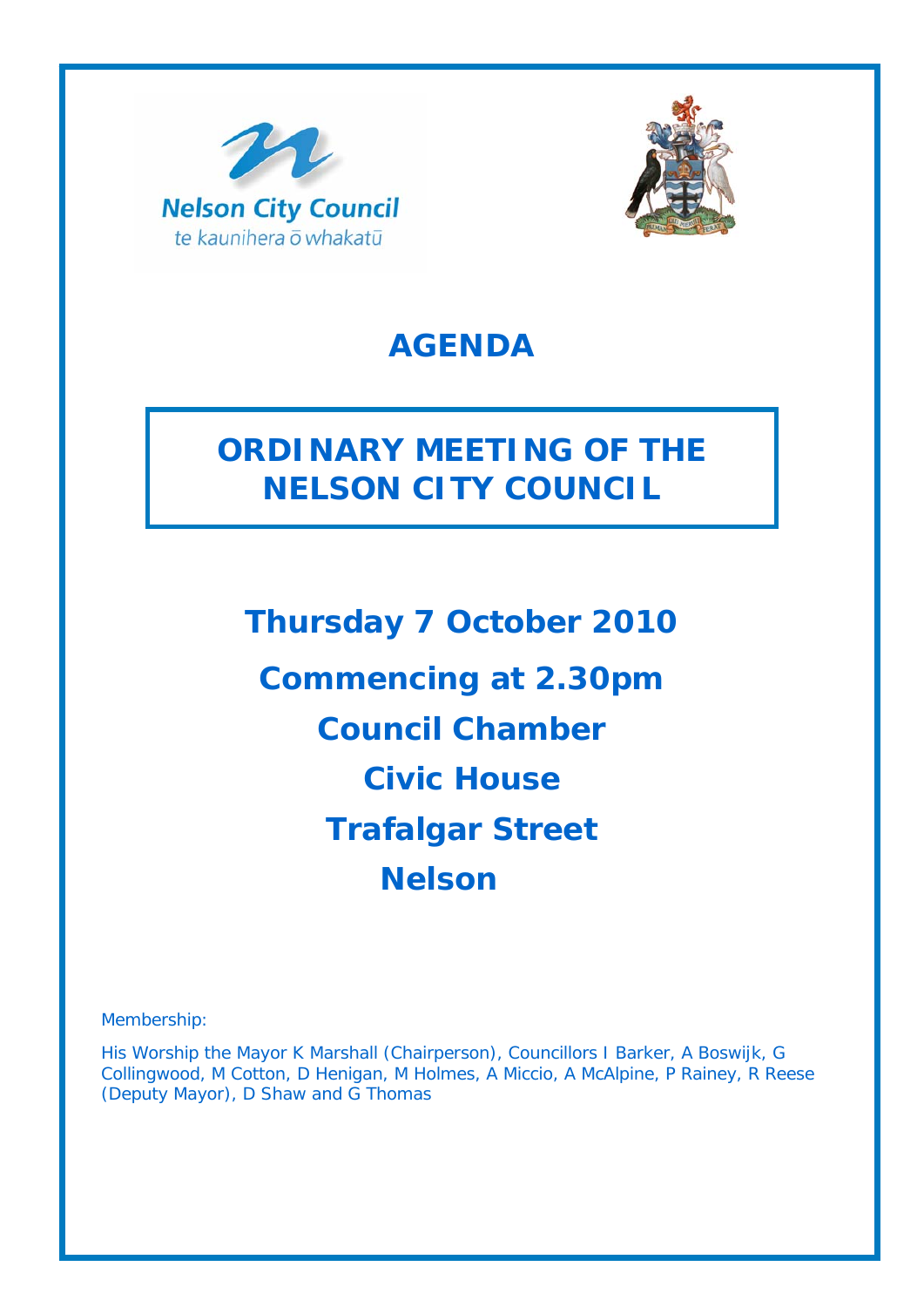



# **AGENDA**

# **ORDINARY MEETING OF THE NELSON CITY COUNCIL**

**Thursday 7 October 2010 Commencing at 2.30pm Council Chamber Civic House Trafalgar Street Nelson** 

Membership:

His Worship the Mayor K Marshall (Chairperson), Councillors I Barker, A Boswijk, G Collingwood, M Cotton, D Henigan, M Holmes, A Miccio, A McAlpine, P Rainey, R Reese (Deputy Mayor), D Shaw and G Thomas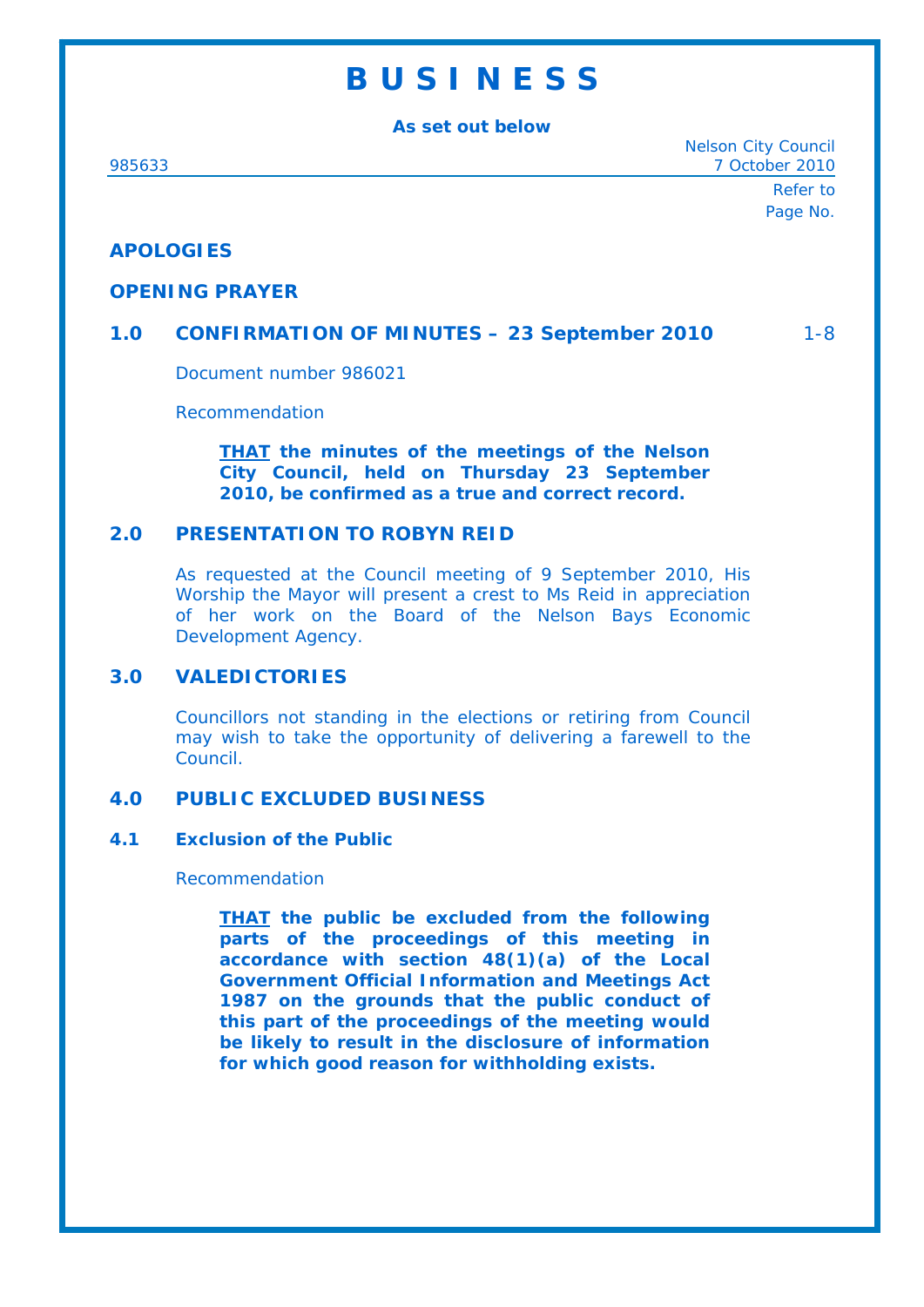# **B U S I N E S S**

**As set out below** 

Nelson City Council 985633 7 October 2010

> Refer to Page No.

# **APOLOGIES**

#### **OPENING PRAYER**

## **1.0 CONFIRMATION OF MINUTES – 23 September 2010** 1-8

Document number 986021

Recommendation

*THAT the minutes of the meetings of the Nelson City Council, held on Thursday 23 September 2010, be confirmed as a true and correct record.*

## **2.0 PRESENTATION TO ROBYN REID**

As requested at the Council meeting of 9 September 2010, His Worship the Mayor will present a crest to Ms Reid in appreciation of her work on the Board of the Nelson Bays Economic Development Agency.

### **3.0 VALEDICTORIES**

Councillors not standing in the elections or retiring from Council may wish to take the opportunity of delivering a farewell to the Council.

### **4.0 PUBLIC EXCLUDED BUSINESS**

#### **4.1 Exclusion of the Public**

Recommendation

*THAT the public be excluded from the following parts of the proceedings of this meeting in accordance with section 48(1)(a) of the Local Government Official Information and Meetings Act 1987 on the grounds that the public conduct of this part of the proceedings of the meeting would be likely to result in the disclosure of information for which good reason for withholding exists.*